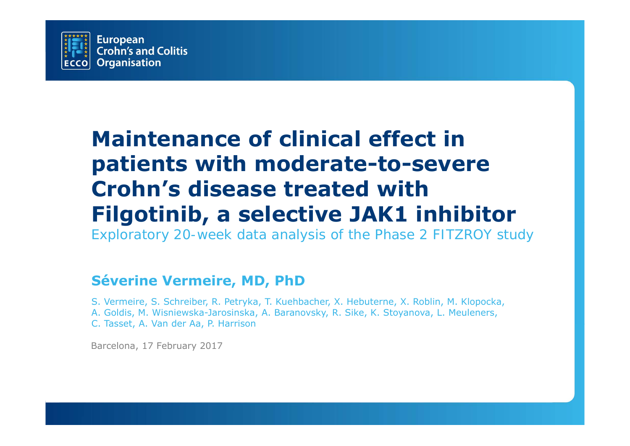

# **Maintenance of clinical effect in patients with moderate-to-severe Crohn's disease treated with Filgotinib, a selective JAK1 inhibitor**

*Exploratory 20-week data analysis of the Phase 2 FITZROY study*

#### **Séverine Vermeire, MD, PhD**

S. Vermeire, S. Schreiber, R. Petryka, T. Kuehbacher, X. Hebuterne, X. Roblin, M. Klopocka, A. Goldis, M. Wisniewska-Jarosinska, A. Baranovsky, R. Sike, K. Stoyanova, L. Meuleners, C. Tasset, A. Van der Aa, P. Harrison

Barcelona, 17 February 2017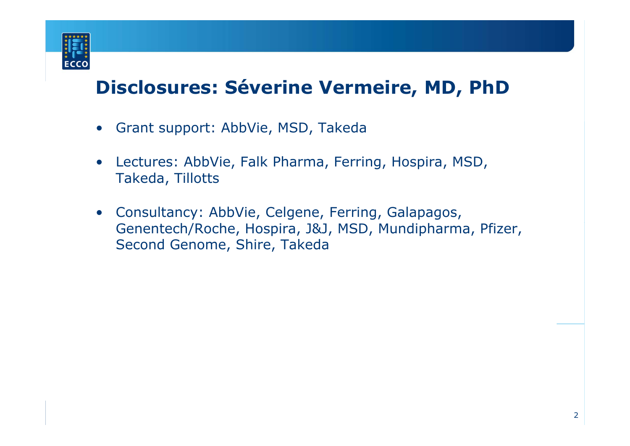

## **Disclosures: Séverine Vermeire, MD, PhD**

- Grant support: AbbVie, MSD, Takeda
- $\bullet$  Lectures: AbbVie, Falk Pharma, Ferring, Hospira, MSD, Takeda, Tillotts
- Consultancy: AbbVie, Celgene, Ferring, Galapagos, Genentech/Roche, Hospira, J&J, MSD, Mundipharma, Pfizer, Second Genome, Shire, Takeda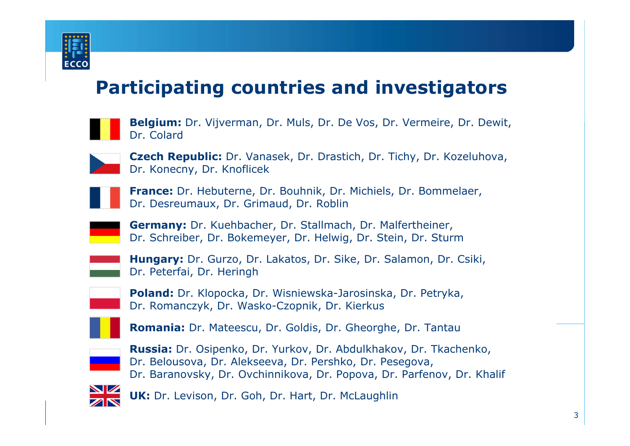

### **Participating countries and investigators**

| <b>Belgium:</b> Dr. Vijverman, Dr. Muls, Dr. De Vos, Dr. Vermeire, Dr. Dewit, |  |  |
|-------------------------------------------------------------------------------|--|--|
| <b>Dr. Colard</b>                                                             |  |  |

**Czech Republic:** Dr. Vanasek, Dr. Drastich, Dr. Tichy, Dr. Kozeluhova, Dr. Konecny, Dr. Knoflicek

**France:** Dr. Hebuterne, Dr. Bouhnik, Dr. Michiels, Dr. Bommelaer, Dr. Desreumaux, Dr. Grimaud, Dr. Roblin

**Germany:** Dr. Kuehbacher, Dr. Stallmach, Dr. Malfertheiner, Dr. Schreiber, Dr. Bokemeyer, Dr. Helwig, Dr. Stein, Dr. Sturm

| <b>Hungary:</b> Dr. Gurzo, Dr. Lakatos, Dr. Sike, Dr. Salamon, Dr. Csiki, |  |
|---------------------------------------------------------------------------|--|
| Dr. Peterfai, Dr. Heringh                                                 |  |

**Poland:** Dr. Klopocka, Dr. Wisniewska-Jarosinska, Dr. Petryka, Dr. Romanczyk, Dr. Wasko-Czopnik, Dr. Kierkus

**Romania:** Dr. Mateescu, Dr. Goldis, Dr. Gheorghe, Dr. Tantau



**Russia:** Dr. Osipenko, Dr. Yurkov, Dr. Abdulkhakov, Dr. Tkachenko, Dr. Belousova, Dr. Alekseeva, Dr. Pershko, Dr. Pesegova, Dr. Baranovsky, Dr. Ovchinnikova, Dr. Popova, Dr. Parfenov, Dr. Khalif



**UK:** Dr. Levison, Dr. Goh, Dr. Hart, Dr. McLaughlin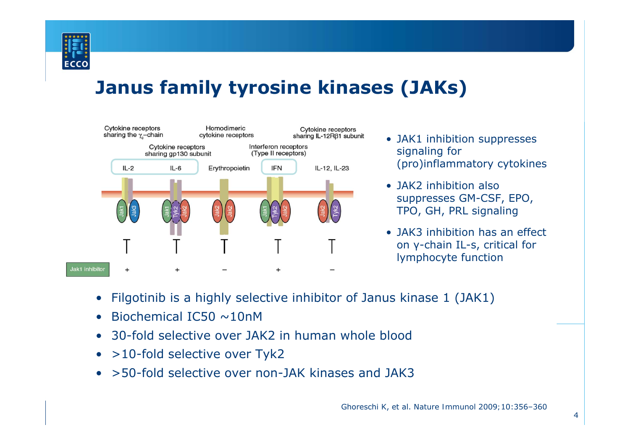

## **Janus family tyrosine kinases (JAKs)**



- JAK1 inhibition suppresses signaling for (pro)inflammatory cytokines
- JAK2 inhibition also suppresses GM-CSF, EPO, TPO, GH, PRL signaling
- JAK3 inhibition has an effect on γ-chain IL-s, critical for lymphocyte function
- $\bullet$ Filgotinib is a highly selective inhibitor of Janus kinase 1 (JAK1)
- •Biochemical IC50 ~10nM
- $\bullet$ 30-fold selective over JAK2 in human whole blood
- $\bullet$ >10-fold selective over Tyk2
- $\bullet$ >50-fold selective over non-JAK kinases and JAK3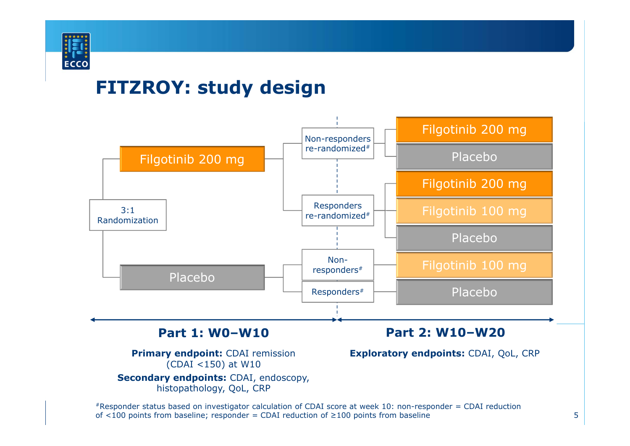

#### **FITZROY: study design**

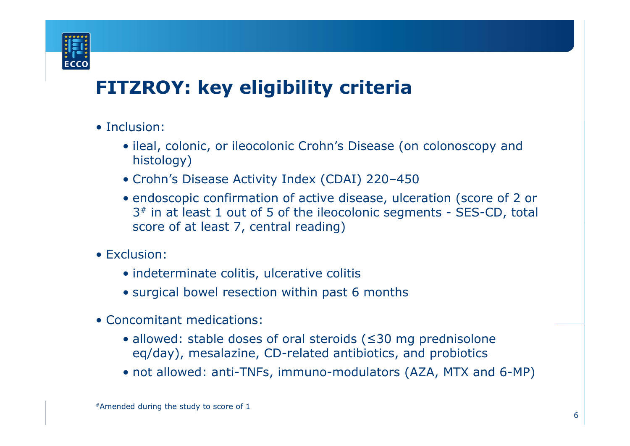

## **FITZROY: key eligibility criteria**

- Inclusion:
	- ileal, colonic, or ileocolonic Crohn's Disease (on colonoscopy and histology)
	- Crohn's Disease Activity Index (CDAI) 220–450
	- endoscopic confirmation of active disease, ulceration (score of 2 or 3 # in at least 1 out of 5 of the ileocolonic segments - SES-CD, total score of at least 7, central reading)
- Exclusion:
	- indeterminate colitis, ulcerative colitis
	- surgical bowel resection within past 6 months
- Concomitant medications:
	- allowed: stable doses of oral steroids ( ≤30 mg prednisolone eq/day), mesalazine, CD-related antibiotics, and probiotics
	- not allowed: anti-TNFs, immuno-modulators (AZA, MTX and 6-MP)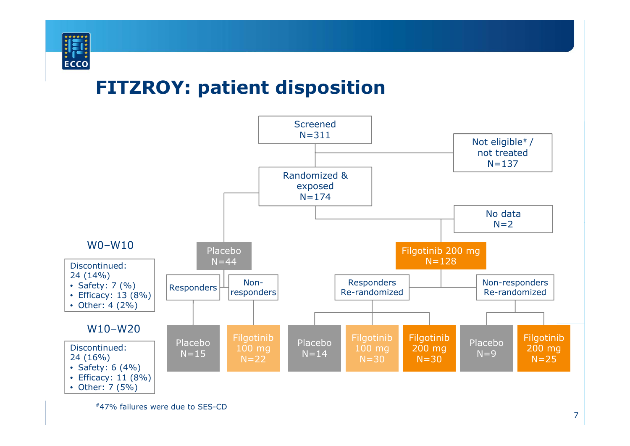

### **FITZROY: patient disposition**

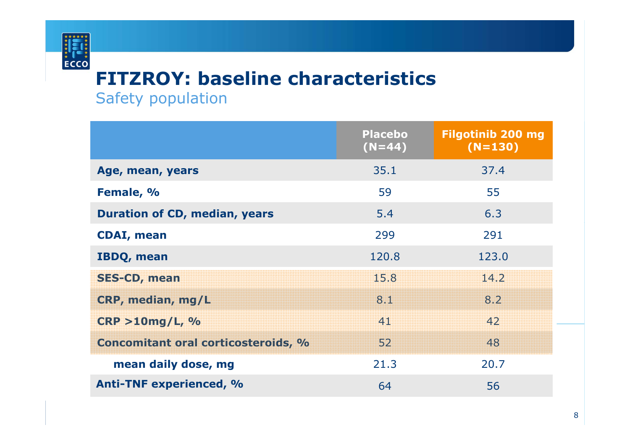## **FITZROY: baseline characteristics**

Safety population

 $\frac{1}{2}$ 

|                                            | <b>Placebo</b><br>$(N=44)$ | <b>Filgotinib 200 mg</b><br>$(N=130)$ |
|--------------------------------------------|----------------------------|---------------------------------------|
| Age, mean, years                           | 35.1                       | 37.4                                  |
| Female, %                                  | 59                         | 55                                    |
| <b>Duration of CD, median, years</b>       | 5.4                        | 6.3                                   |
| <b>CDAI, mean</b>                          | 299                        | 291                                   |
| <b>IBDQ, mean</b>                          | 120.8                      | 123.0                                 |
| <b>SES-CD, mean</b>                        | 15.8                       | 14.2                                  |
| CRP, median, mg/L                          | 8.1                        | 8.2                                   |
| CRP > 10mg/L, %                            | 41                         | 42                                    |
| <b>Concomitant oral corticosteroids, %</b> | 52                         | 48                                    |
| mean daily dose, mg                        | 21.3                       | 20.7                                  |
| <b>Anti-TNF experienced, %</b>             | 64                         | 56                                    |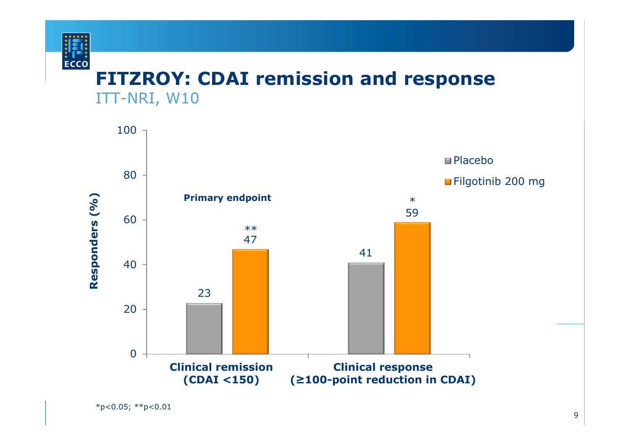

#### **FITZROY: CDAI remission and response** ITT-NRI, W10

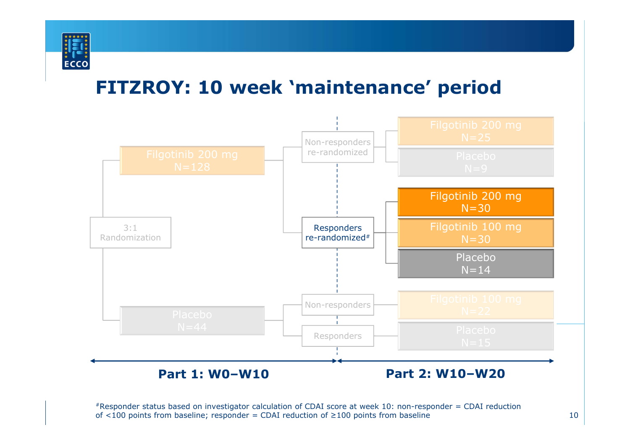

## **FITZROY: 10 week 'maintenance' period**

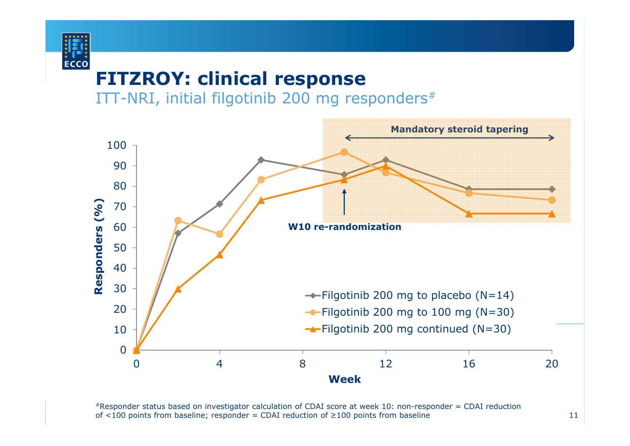

#### **FITZROY: clinical response**

ITT-NRI, initial filgotinib 200 mg responders #

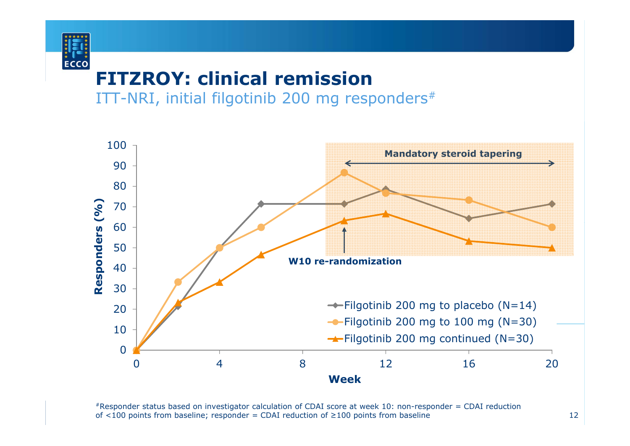## **FITZROY: clinical remission**

**ECCO** 

ITT-NRI, initial filgotinib 200 mg responders #

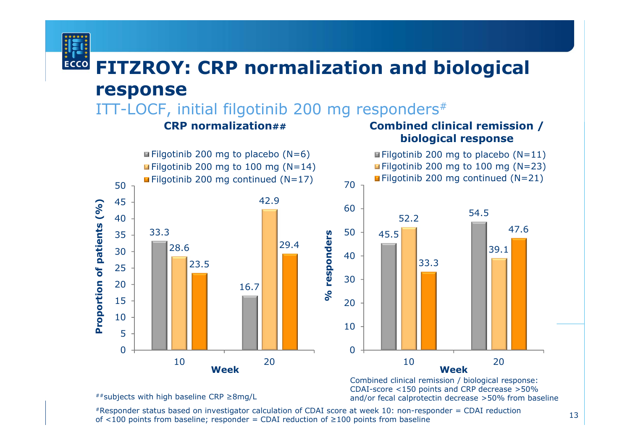#### **FITZROY: CRP normalization and biological ECCO response**

ITT-LOCF, initial filgotinib 200 mg responders #

#### **CRP normalization##**

#### **Combined clinical remission / biological response**



Combined clinical remission / biological response: CDAI-score <150 points and CRP decrease >50% and/or fecal calprotectin decrease >50% from baseline

##subjects with high baseline CRP ≥8mg/L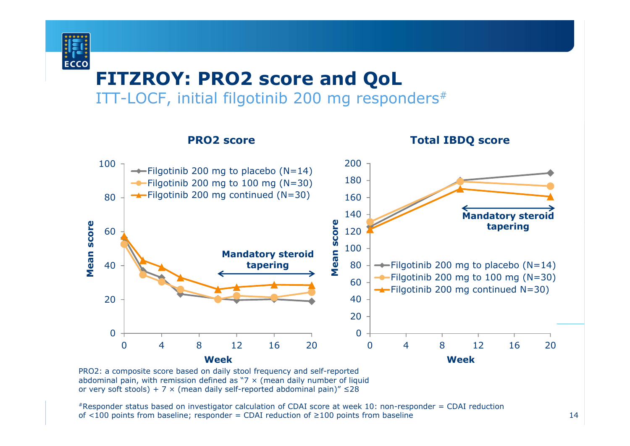

#### **FITZROY: PRO2 score and QoL** ITT-LOCF, initial filgotinib 200 mg responders #



PRO2: a composite score based on daily stool frequency and self-reported abdominal pain, with remission defined as  $7 \times$  (mean daily number of liquid or very soft stools) + 7  $\times$  (mean daily self-reported abdominal pain)"  $\leq$ 28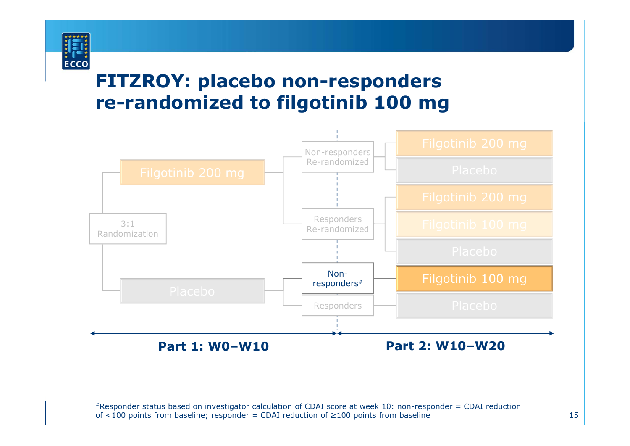

### **FITZROY: placebo non-responders re-randomized to filgotinib 100 mg**

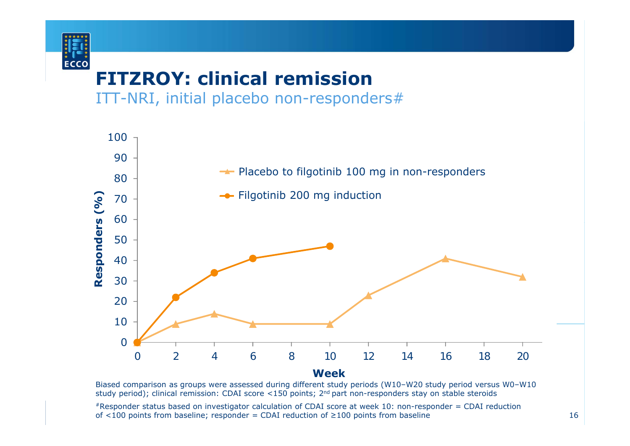

## **FITZROY: clinical remission**

ITT-NRI, initial placebo non-responders#



Biased comparison as groups were assessed during different study periods (W10–W20 study period versus W0–W10 study period); clinical remission: CDAI score <150 points; 2<sup>nd</sup> part non-responders stay on stable steroids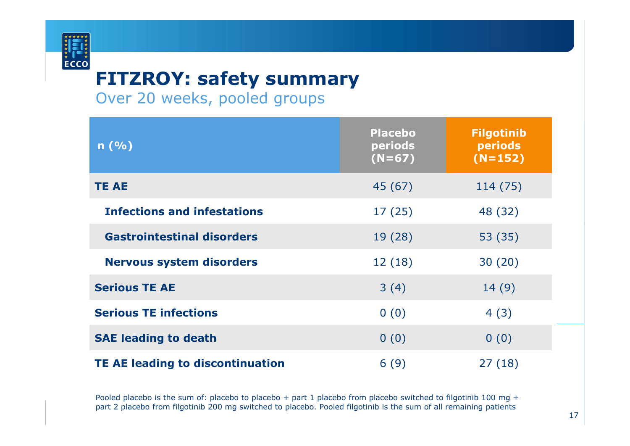## **FITZROY: safety summary**

Over 20 weeks, pooled groups

**ECCO** 

| n(%)                                    | <b>Placebo</b><br>periods<br>$(N=67)$ | <b>Filgotinib</b><br>periods<br>$(N=152)$ |
|-----------------------------------------|---------------------------------------|-------------------------------------------|
| <b>TE AE</b>                            | 45 (67)                               | 114 (75)                                  |
| <b>Infections and infestations</b>      | 17(25)                                | 48 (32)                                   |
| <b>Gastrointestinal disorders</b>       | 19 (28)                               | 53 (35)                                   |
| <b>Nervous system disorders</b>         | 12(18)                                | 30(20)                                    |
| <b>Serious TE AE</b>                    | 3(4)                                  | 14(9)                                     |
| <b>Serious TE infections</b>            | 0(0)                                  | 4(3)                                      |
| <b>SAE leading to death</b>             | 0(0)                                  | 0(0)                                      |
| <b>TE AE leading to discontinuation</b> | 6(9)                                  | 27(18)                                    |

Pooled placebo is the sum of: placebo to placebo + part 1 placebo from placebo switched to filgotinib 100 mg + part 2 placebo from filgotinib 200 mg switched to placebo. Pooled filgotinib is the sum of all remaining patients